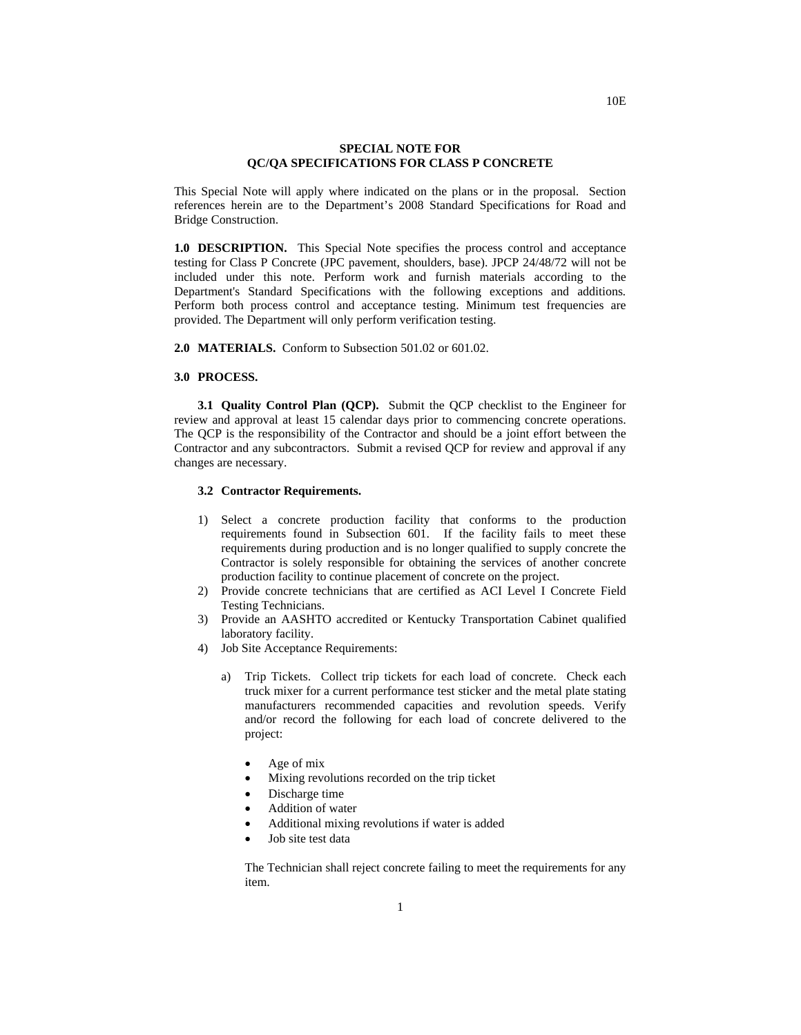#### **SPECIAL NOTE FOR QC/QA SPECIFICATIONS FOR CLASS P CONCRETE**

This Special Note will apply where indicated on the plans or in the proposal. Section references herein are to the Department's 2008 Standard Specifications for Road and Bridge Construction.

**1.0 DESCRIPTION.** This Special Note specifies the process control and acceptance testing for Class P Concrete (JPC pavement, shoulders, base). JPCP 24/48/72 will not be included under this note. Perform work and furnish materials according to the Department's Standard Specifications with the following exceptions and additions*.*  Perform both process control and acceptance testing. Minimum test frequencies are provided. The Department will only perform verification testing.

**2.0 MATERIALS.** Conform to Subsection 501.02 or 601.02.

#### **3.0 PROCESS.**

**3.1 Quality Control Plan (QCP).** Submit the QCP checklist to the Engineer for review and approval at least 15 calendar days prior to commencing concrete operations. The QCP is the responsibility of the Contractor and should be a joint effort between the Contractor and any subcontractors. Submit a revised QCP for review and approval if any changes are necessary.

#### **3.2 Contractor Requirements.**

- 1) Select a concrete production facility that conforms to the production requirements found in Subsection 601. If the facility fails to meet these requirements during production and is no longer qualified to supply concrete the Contractor is solely responsible for obtaining the services of another concrete production facility to continue placement of concrete on the project.
- 2) Provide concrete technicians that are certified as ACI Level I Concrete Field Testing Technicians.
- 3) Provide an AASHTO accredited or Kentucky Transportation Cabinet qualified laboratory facility.
- 4) Job Site Acceptance Requirements:
	- a) Trip Tickets. Collect trip tickets for each load of concrete. Check each truck mixer for a current performance test sticker and the metal plate stating manufacturers recommended capacities and revolution speeds. Verify and/or record the following for each load of concrete delivered to the project:
		- Age of mix
		- Mixing revolutions recorded on the trip ticket
		- Discharge time
		- Addition of water
		- Additional mixing revolutions if water is added
		- Job site test data

The Technician shall reject concrete failing to meet the requirements for any item.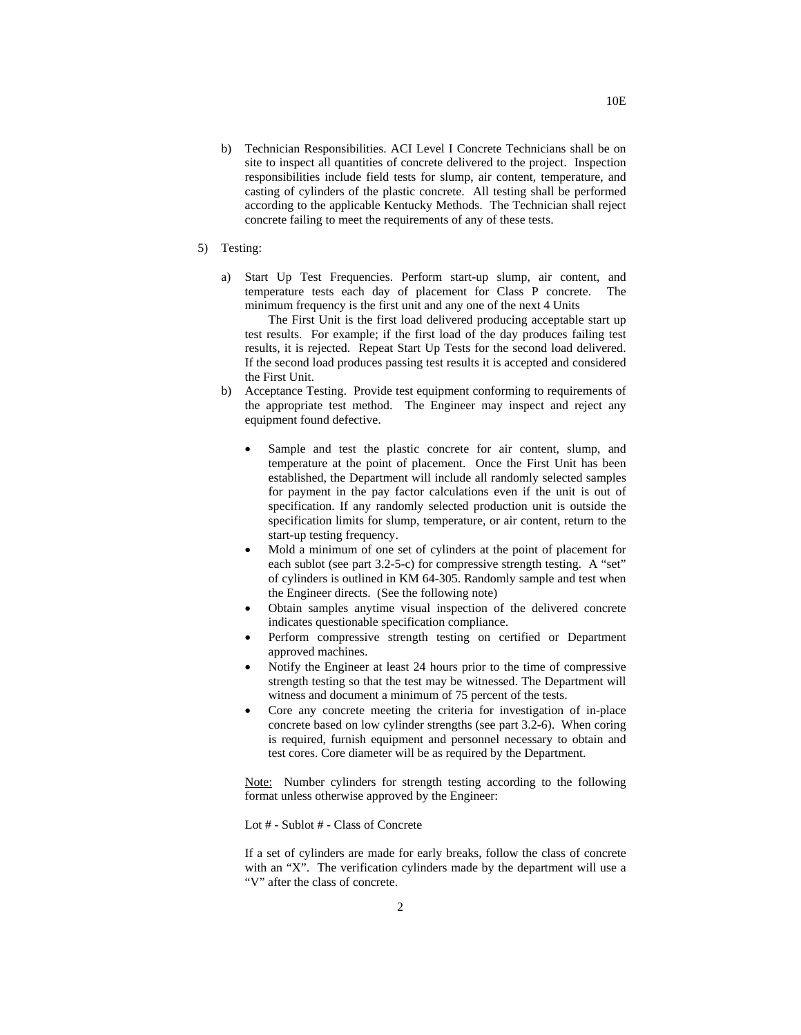- b) Technician Responsibilities. ACI Level I Concrete Technicians shall be on site to inspect all quantities of concrete delivered to the project. Inspection responsibilities include field tests for slump, air content, temperature, and casting of cylinders of the plastic concrete. All testing shall be performed according to the applicable Kentucky Methods. The Technician shall reject concrete failing to meet the requirements of any of these tests.
- 5) Testing:
	- a) Start Up Test Frequencies. Perform start-up slump, air content, and temperature tests each day of placement for Class P concrete. The minimum frequency is the first unit and any one of the next 4 Units

The First Unit is the first load delivered producing acceptable start up test results. For example; if the first load of the day produces failing test results, it is rejected. Repeat Start Up Tests for the second load delivered. If the second load produces passing test results it is accepted and considered the First Unit.

- b) Acceptance Testing. Provide test equipment conforming to requirements of the appropriate test method. The Engineer may inspect and reject any equipment found defective.
	- Sample and test the plastic concrete for air content, slump, and temperature at the point of placement. Once the First Unit has been established, the Department will include all randomly selected samples for payment in the pay factor calculations even if the unit is out of specification. If any randomly selected production unit is outside the specification limits for slump, temperature, or air content, return to the start-up testing frequency.
	- Mold a minimum of one set of cylinders at the point of placement for each sublot (see part 3.2-5-c) for compressive strength testing. A "set" of cylinders is outlined in KM 64-305. Randomly sample and test when the Engineer directs. (See the following note)
	- Obtain samples anytime visual inspection of the delivered concrete indicates questionable specification compliance.
	- Perform compressive strength testing on certified or Department approved machines.
	- Notify the Engineer at least 24 hours prior to the time of compressive strength testing so that the test may be witnessed. The Department will witness and document a minimum of 75 percent of the tests.
	- Core any concrete meeting the criteria for investigation of in-place concrete based on low cylinder strengths (see part 3.2-6). When coring is required, furnish equipment and personnel necessary to obtain and test cores. Core diameter will be as required by the Department.

Note: Number cylinders for strength testing according to the following format unless otherwise approved by the Engineer:

Lot # - Sublot # - Class of Concrete

If a set of cylinders are made for early breaks, follow the class of concrete with an "X". The verification cylinders made by the department will use a "V" after the class of concrete.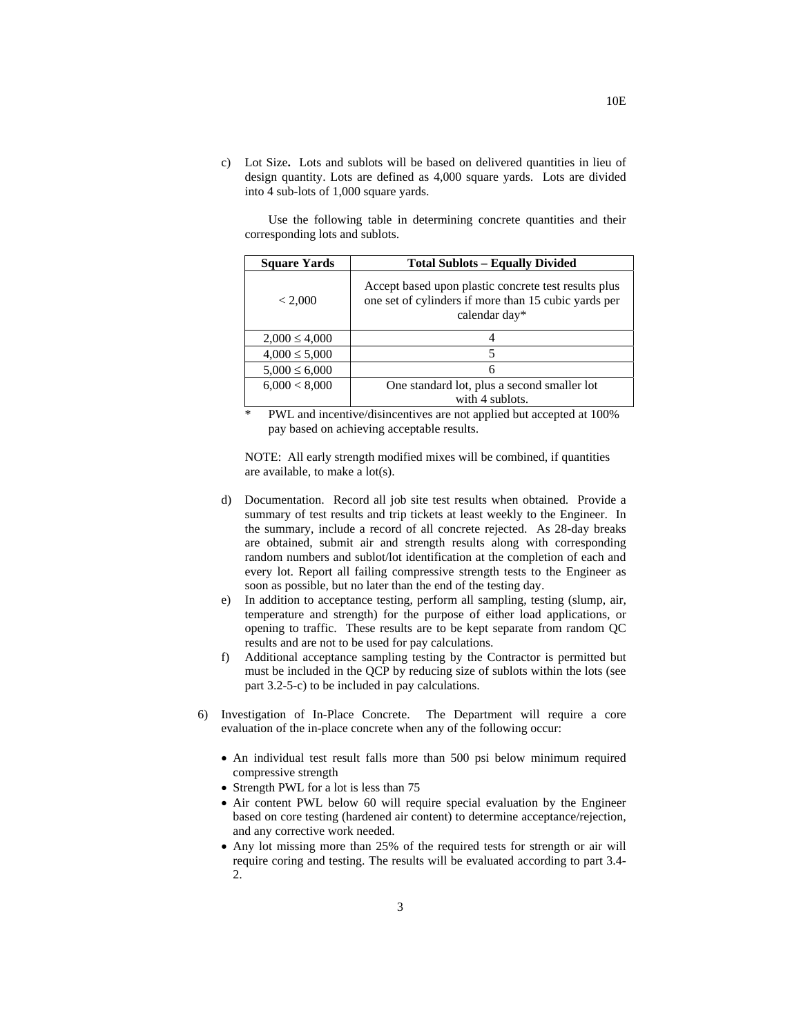c) Lot Size**.** Lots and sublots will be based on delivered quantities in lieu of design quantity. Lots are defined as 4,000 square yards. Lots are divided into 4 sub-lots of 1,000 square yards.

Use the following table in determining concrete quantities and their corresponding lots and sublots.

| <b>Square Yards</b> | <b>Total Sublots - Equally Divided</b>                                                                                        |
|---------------------|-------------------------------------------------------------------------------------------------------------------------------|
| < 2,000             | Accept based upon plastic concrete test results plus<br>one set of cylinders if more than 15 cubic yards per<br>calendar day* |
| $2,000 \leq 4,000$  |                                                                                                                               |
| $4,000 \leq 5,000$  | 5                                                                                                                             |
| $5,000 \le 6,000$   | 6                                                                                                                             |
| 6,000 < 8,000       | One standard lot, plus a second smaller lot                                                                                   |
|                     | with 4 sublots.                                                                                                               |

\* PWL and incentive/disincentives are not applied but accepted at 100% pay based on achieving acceptable results.

NOTE:All early strength modified mixes will be combined, if quantities are available, to make a lot(s).

- d) Documentation. Record all job site test results when obtained. Provide a summary of test results and trip tickets at least weekly to the Engineer. In the summary, include a record of all concrete rejected. As 28-day breaks are obtained, submit air and strength results along with corresponding random numbers and sublot/lot identification at the completion of each and every lot. Report all failing compressive strength tests to the Engineer as soon as possible, but no later than the end of the testing day.
- e) In addition to acceptance testing, perform all sampling, testing (slump, air, temperature and strength) for the purpose of either load applications, or opening to traffic. These results are to be kept separate from random QC results and are not to be used for pay calculations.
- f) Additional acceptance sampling testing by the Contractor is permitted but must be included in the QCP by reducing size of sublots within the lots (see part 3.2-5-c) to be included in pay calculations.
- 6) Investigation of In-Place Concrete. The Department will require a core evaluation of the in-place concrete when any of the following occur:
	- An individual test result falls more than 500 psi below minimum required compressive strength
	- Strength PWL for a lot is less than 75
	- Air content PWL below 60 will require special evaluation by the Engineer based on core testing (hardened air content) to determine acceptance/rejection, and any corrective work needed.
	- Any lot missing more than 25% of the required tests for strength or air will require coring and testing. The results will be evaluated according to part 3.4- 2.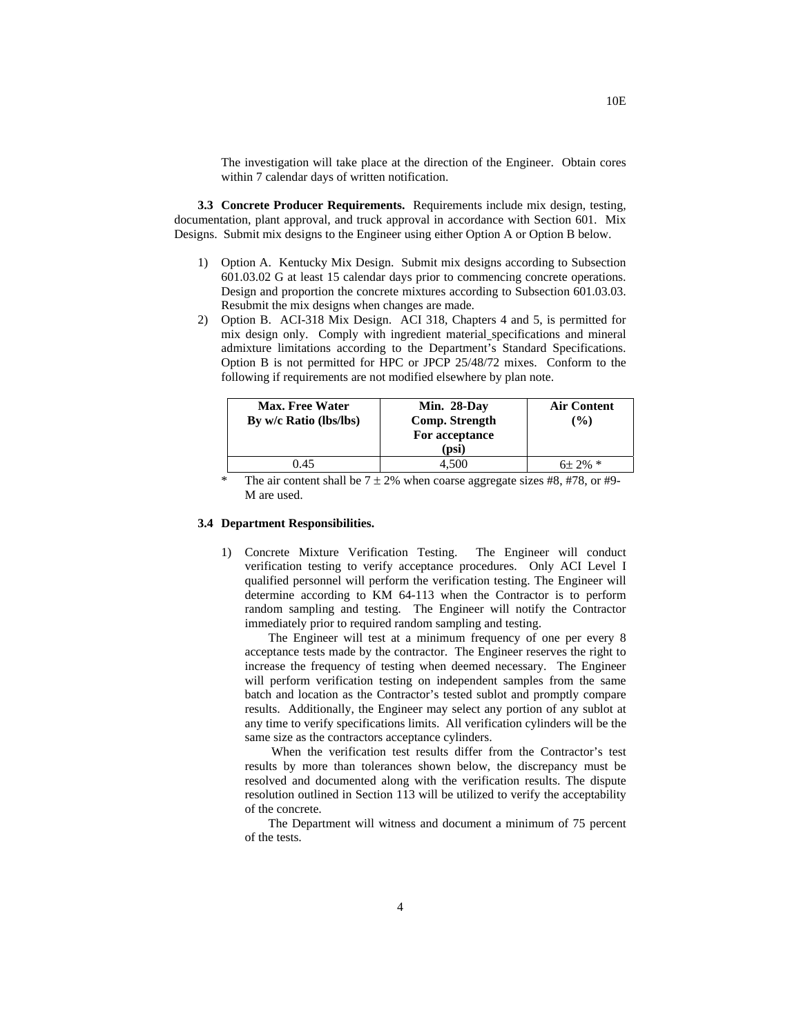The investigation will take place at the direction of the Engineer. Obtain cores within 7 calendar days of written notification.

**3.3 Concrete Producer Requirements.** Requirements include mix design, testing, documentation, plant approval, and truck approval in accordance with Section 601. Mix Designs. Submit mix designs to the Engineer using either Option A or Option B below.

- 1) Option A. Kentucky Mix Design. Submit mix designs according to Subsection 601.03.02 G at least 15 calendar days prior to commencing concrete operations. Design and proportion the concrete mixtures according to Subsection 601.03.03. Resubmit the mix designs when changes are made.
- 2) Option B. ACI-318 Mix Design. ACI 318, Chapters 4 and 5, is permitted for mix design only. Comply with ingredient material specifications and mineral admixture limitations according to the Department's Standard Specifications. Option B is not permitted for HPC or JPCP 25/48/72 mixes. Conform to the following if requirements are not modified elsewhere by plan note.

| <b>Max. Free Water</b><br>By w/c Ratio (lbs/lbs) | Min. 28-Day<br>Comp. Strength<br>For acceptance<br>(psi | <b>Air Content</b><br>$($ %) |
|--------------------------------------------------|---------------------------------------------------------|------------------------------|
| 0.45                                             | 4.500                                                   | $6\pm 2\%$ *                 |

The air content shall be  $7 \pm 2\%$  when coarse aggregate sizes #8, #78, or #9-M are used.

### **3.4 Department Responsibilities.**

1) Concrete Mixture Verification Testing. The Engineer will conduct verification testing to verify acceptance procedures. Only ACI Level I qualified personnel will perform the verification testing. The Engineer will determine according to KM 64-113 when the Contractor is to perform random sampling and testing. The Engineer will notify the Contractor immediately prior to required random sampling and testing.

The Engineer will test at a minimum frequency of one per every 8 acceptance tests made by the contractor. The Engineer reserves the right to increase the frequency of testing when deemed necessary. The Engineer will perform verification testing on independent samples from the same batch and location as the Contractor's tested sublot and promptly compare results. Additionally, the Engineer may select any portion of any sublot at any time to verify specifications limits. All verification cylinders will be the same size as the contractors acceptance cylinders.

When the verification test results differ from the Contractor's test results by more than tolerances shown below, the discrepancy must be resolved and documented along with the verification results. The dispute resolution outlined in Section 113 will be utilized to verify the acceptability of the concrete.

The Department will witness and document a minimum of 75 percent of the tests.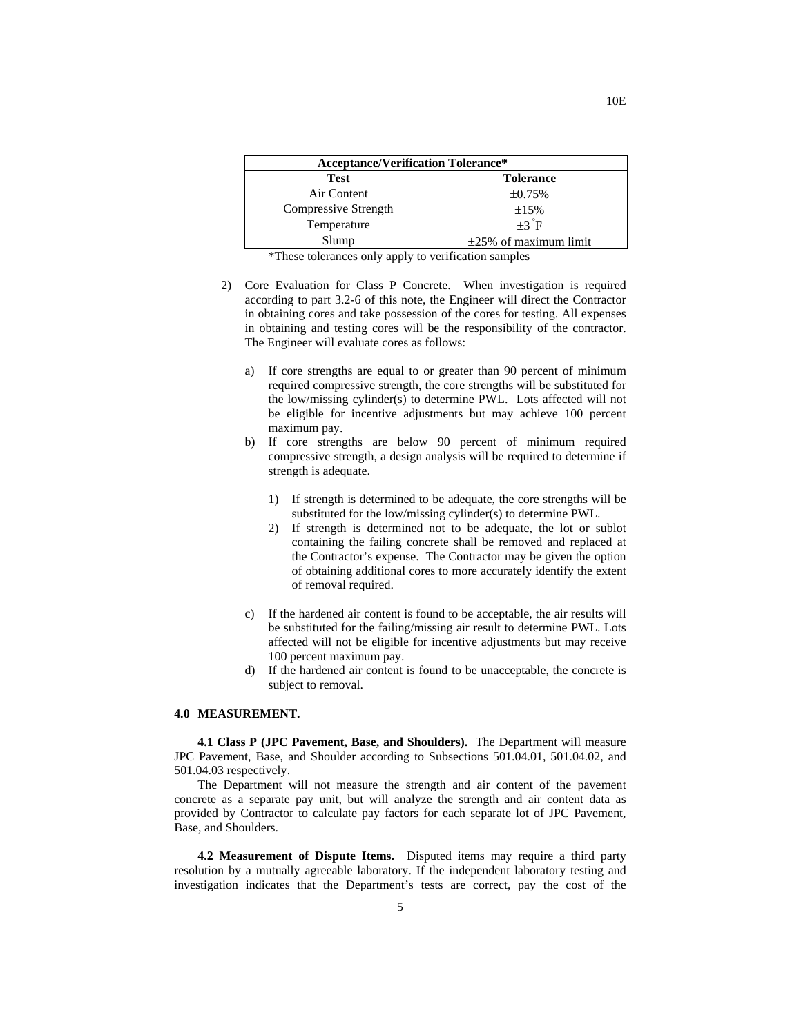| <b>Acceptance/Verification Tolerance*</b> |                             |  |  |  |  |  |
|-------------------------------------------|-----------------------------|--|--|--|--|--|
| <b>Test</b>                               | <b>Tolerance</b>            |  |  |  |  |  |
| Air Content                               | $\pm 0.75\%$                |  |  |  |  |  |
| Compressive Strength                      | $\pm 15\%$                  |  |  |  |  |  |
| Temperature                               | $+3$ F                      |  |  |  |  |  |
| Slump                                     | $\pm 25\%$ of maximum limit |  |  |  |  |  |

\*These tolerances only apply to verification samples

- 2) Core Evaluation for Class P Concrete. When investigation is required according to part 3.2-6 of this note, the Engineer will direct the Contractor in obtaining cores and take possession of the cores for testing. All expenses in obtaining and testing cores will be the responsibility of the contractor. The Engineer will evaluate cores as follows:
	- a) If core strengths are equal to or greater than 90 percent of minimum required compressive strength, the core strengths will be substituted for the low/missing cylinder(s) to determine PWL. Lots affected will not be eligible for incentive adjustments but may achieve 100 percent maximum pay.
	- b) If core strengths are below 90 percent of minimum required compressive strength, a design analysis will be required to determine if strength is adequate.
		- 1) If strength is determined to be adequate, the core strengths will be substituted for the low/missing cylinder(s) to determine PWL.
		- 2) If strength is determined not to be adequate, the lot or sublot containing the failing concrete shall be removed and replaced at the Contractor's expense. The Contractor may be given the option of obtaining additional cores to more accurately identify the extent of removal required.
	- c) If the hardened air content is found to be acceptable, the air results will be substituted for the failing/missing air result to determine PWL. Lots affected will not be eligible for incentive adjustments but may receive 100 percent maximum pay.
	- d) If the hardened air content is found to be unacceptable, the concrete is subject to removal.

#### **4.0 MEASUREMENT.**

**4.1 Class P (JPC Pavement, Base, and Shoulders).** The Department will measure JPC Pavement, Base, and Shoulder according to Subsections 501.04.01, 501.04.02, and 501.04.03 respectively.

The Department will not measure the strength and air content of the pavement concrete as a separate pay unit, but will analyze the strength and air content data as provided by Contractor to calculate pay factors for each separate lot of JPC Pavement, Base, and Shoulders.

**4.2 Measurement of Dispute Items.** Disputed items may require a third party resolution by a mutually agreeable laboratory. If the independent laboratory testing and investigation indicates that the Department's tests are correct, pay the cost of the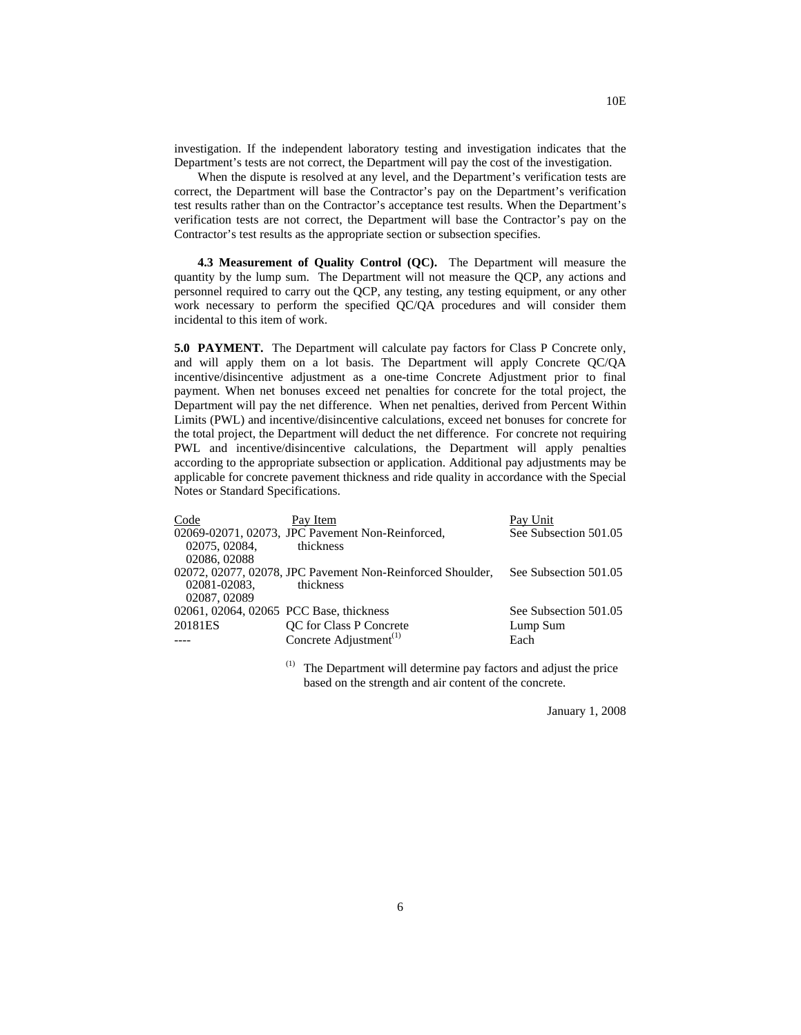investigation. If the independent laboratory testing and investigation indicates that the Department's tests are not correct, the Department will pay the cost of the investigation.

When the dispute is resolved at any level, and the Department's verification tests are correct, the Department will base the Contractor's pay on the Department's verification test results rather than on the Contractor's acceptance test results. When the Department's verification tests are not correct, the Department will base the Contractor's pay on the Contractor's test results as the appropriate section or subsection specifies.

**4.3 Measurement of Quality Control (QC).** The Department will measure the quantity by the lump sum. The Department will not measure the QCP, any actions and personnel required to carry out the QCP, any testing, any testing equipment, or any other work necessary to perform the specified QC/QA procedures and will consider them incidental to this item of work.

**5.0 PAYMENT.** The Department will calculate pay factors for Class P Concrete only, and will apply them on a lot basis. The Department will apply Concrete QC/QA incentive/disincentive adjustment as a one-time Concrete Adjustment prior to final payment. When net bonuses exceed net penalties for concrete for the total project, the Department will pay the net difference. When net penalties, derived from Percent Within Limits (PWL) and incentive/disincentive calculations, exceed net bonuses for concrete for the total project, the Department will deduct the net difference. For concrete not requiring PWL and incentive/disincentive calculations, the Department will apply penalties according to the appropriate subsection or application. Additional pay adjustments may be applicable for concrete pavement thickness and ride quality in accordance with the Special Notes or Standard Specifications.

| Code                                    | Pay Item                                                   | Pay Unit              |
|-----------------------------------------|------------------------------------------------------------|-----------------------|
|                                         | 02069-02071, 02073, JPC Pavement Non-Reinforced,           | See Subsection 501.05 |
| 02075, 02084,                           | thickness                                                  |                       |
| 02086, 02088                            |                                                            |                       |
|                                         | 02072, 02077, 02078, JPC Pavement Non-Reinforced Shoulder, | See Subsection 501.05 |
| 02081-02083.                            | thickness                                                  |                       |
| 02087, 02089                            |                                                            |                       |
| 02061, 02064, 02065 PCC Base, thickness |                                                            | See Subsection 501.05 |
| 20181ES                                 | QC for Class P Concrete                                    | Lump Sum              |
|                                         | Concrete Adjustment <sup>(1)</sup>                         | Each                  |
|                                         |                                                            |                       |

 $(1)$  The Department will determine pay factors and adjust the price based on the strength and air content of the concrete.

January 1, 2008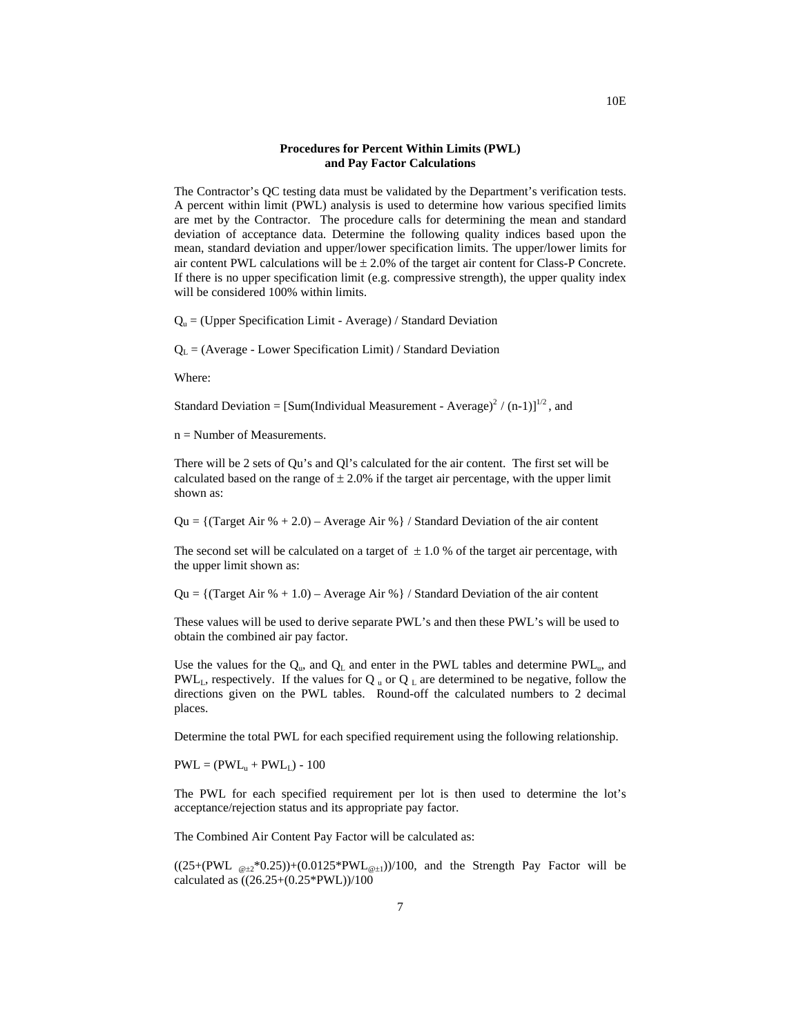#### **Procedures for Percent Within Limits (PWL) and Pay Factor Calculations**

The Contractor's QC testing data must be validated by the Department's verification tests. A percent within limit (PWL) analysis is used to determine how various specified limits are met by the Contractor. The procedure calls for determining the mean and standard deviation of acceptance data. Determine the following quality indices based upon the mean, standard deviation and upper/lower specification limits. The upper/lower limits for air content PWL calculations will be  $\pm 2.0\%$  of the target air content for Class-P Concrete. If there is no upper specification limit (e.g. compressive strength), the upper quality index will be considered 100% within limits.

 $Q<sub>u</sub> = (Upper Specification Limit - Average) / Standard Deviation$ 

 $Q_L$  = (Average - Lower Specification Limit) / Standard Deviation

Where:

Standard Deviation =  $[\text{Sum}(\text{Individual Measurement - Average})^2 / (n-1)]^{1/2}$ , and

 $n =$  Number of Measurements.

There will be 2 sets of Qu's and Ql's calculated for the air content. The first set will be calculated based on the range of  $\pm 2.0\%$  if the target air percentage, with the upper limit shown as:

 $Qu = \{ (Target Air % + 2.0) - Average Air % \} / Standard Deviation of the air content$ 

The second set will be calculated on a target of  $\pm 1.0$  % of the target air percentage, with the upper limit shown as:

Qu =  $\{$ (Target Air % + 1.0) – Average Air %  $\}/$  Standard Deviation of the air content

These values will be used to derive separate PWL's and then these PWL's will be used to obtain the combined air pay factor.

Use the values for the  $Q_{\mu}$ , and  $Q_{\mu}$  and enter in the PWL tables and determine PWL<sub>u</sub>, and PWL<sub>L</sub>, respectively. If the values for Q  $_{\text{u}}$  or Q <sub>L</sub> are determined to be negative, follow the directions given on the PWL tables. Round-off the calculated numbers to 2 decimal places.

Determine the total PWL for each specified requirement using the following relationship.

 $PWL = (PWL<sub>u</sub> + PWL<sub>L</sub>) - 100$ 

The PWL for each specified requirement per lot is then used to determine the lot's acceptance/rejection status and its appropriate pay factor.

The Combined Air Content Pay Factor will be calculated as:

 $((25+(PWL_{@+2}*0.25))+(0.0125*PWL_{@+1}))/100$ , and the Strength Pay Factor will be calculated as ((26.25+(0.25\*PWL))/100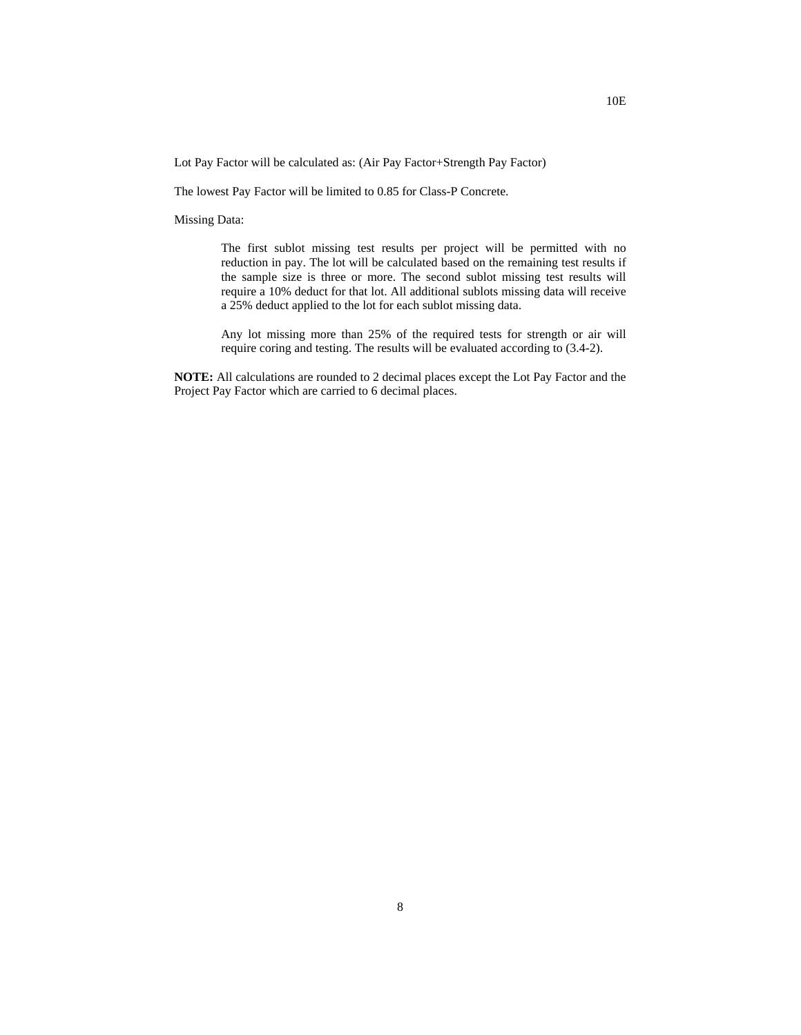Lot Pay Factor will be calculated as: (Air Pay Factor+Strength Pay Factor)

The lowest Pay Factor will be limited to 0.85 for Class-P Concrete.

Missing Data:

The first sublot missing test results per project will be permitted with no reduction in pay. The lot will be calculated based on the remaining test results if the sample size is three or more. The second sublot missing test results will require a 10% deduct for that lot. All additional sublots missing data will receive a 25% deduct applied to the lot for each sublot missing data.

Any lot missing more than 25% of the required tests for strength or air will require coring and testing. The results will be evaluated according to (3.4-2).

**NOTE:** All calculations are rounded to 2 decimal places except the Lot Pay Factor and the Project Pay Factor which are carried to 6 decimal places.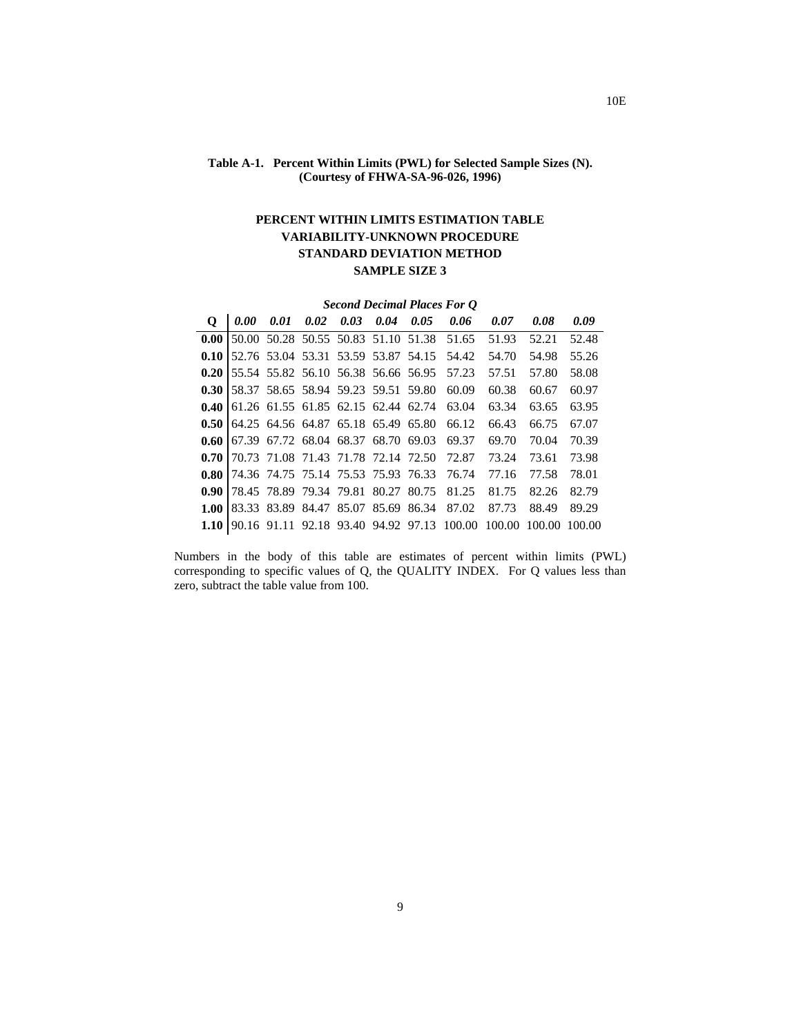## **Table A-1. Percent Within Limits (PWL) for Selected Sample Sizes (N). (Courtesy of FHWA-SA-96-026, 1996)**

## **PERCENT WITHIN LIMITS ESTIMATION TABLE VARIABILITY-UNKNOWN PROCEDURE STANDARD DEVIATION METHOD SAMPLE SIZE 3**

|                   | <b>Second Decimal Places For Q</b> |      |                                     |  |      |                                     |                                            |               |       |        |  |  |  |
|-------------------|------------------------------------|------|-------------------------------------|--|------|-------------------------------------|--------------------------------------------|---------------|-------|--------|--|--|--|
| $\mathbf{o}$      | 0.00                               | 0.01 | $0.02\quad 0.03$                    |  | 0.04 | 0.05                                | 0.06                                       | 0.07          | 0.08  | 0.09   |  |  |  |
| 0.00              |                                    |      |                                     |  |      |                                     | 50.00 50.28 50.55 50.83 51.10 51.38 51.65  | 51.93         | 52.21 | 52.48  |  |  |  |
| 0.10              |                                    |      |                                     |  |      | 52.76 53.04 53.31 53.59 53.87 54.15 | 54.42                                      | 54.70         | 54.98 | 55.26  |  |  |  |
| 0.201             |                                    |      |                                     |  |      |                                     | 55.54 55.82 56.10 56.38 56.66 56.95 57.23  | 57.51         | 57.80 | 58.08  |  |  |  |
| 0.30              |                                    |      |                                     |  |      | 58.37 58.65 58.94 59.23 59.51 59.80 | 60.09                                      | 60.38         | 60.67 | 60.97  |  |  |  |
| 0.40              |                                    |      | 61.26 61.55 61.85 62.15 62.44 62.74 |  |      |                                     | 63.04                                      | 63.34         | 63.65 | 63.95  |  |  |  |
| 0.50 <sub>1</sub> |                                    |      | 64.25 64.56 64.87 65.18 65.49 65.80 |  |      |                                     | 66.12                                      | 66.43         | 66.75 | 67.07  |  |  |  |
| 0.60              |                                    |      | 67.39 67.72 68.04 68.37 68.70 69.03 |  |      |                                     | 69.37                                      | 69.70         | 70.04 | 70.39  |  |  |  |
| 0.70              |                                    |      |                                     |  |      |                                     | 70.73 71.08 71.43 71.78 72.14 72.50 72.87  | 73.24         | 73.61 | 73.98  |  |  |  |
| 0.80 <sub>1</sub> |                                    |      | 74.36 74.75 75.14 75.53 75.93 76.33 |  |      |                                     | 76.74                                      | 77.16         | 77.58 | 78.01  |  |  |  |
| 0.90 <sup>1</sup> |                                    |      | 78.45 78.89 79.34 79.81 80.27 80.75 |  |      |                                     | 81.25                                      | 81.75         | 82.26 | 82.79  |  |  |  |
| 1.00              |                                    |      | 83.33 83.89 84.47 85.07 85.69 86.34 |  |      |                                     | 87.02                                      | 87.73         | 88.49 | 89.29  |  |  |  |
| 1.10              |                                    |      |                                     |  |      |                                     | 90.16 91.11 92.18 93.40 94.92 97.13 100.00 | 100.00 100.00 |       | 100.00 |  |  |  |

Numbers in the body of this table are estimates of percent within limits (PWL) corresponding to specific values of Q, the QUALITY INDEX. For Q values less than zero, subtract the table value from 100.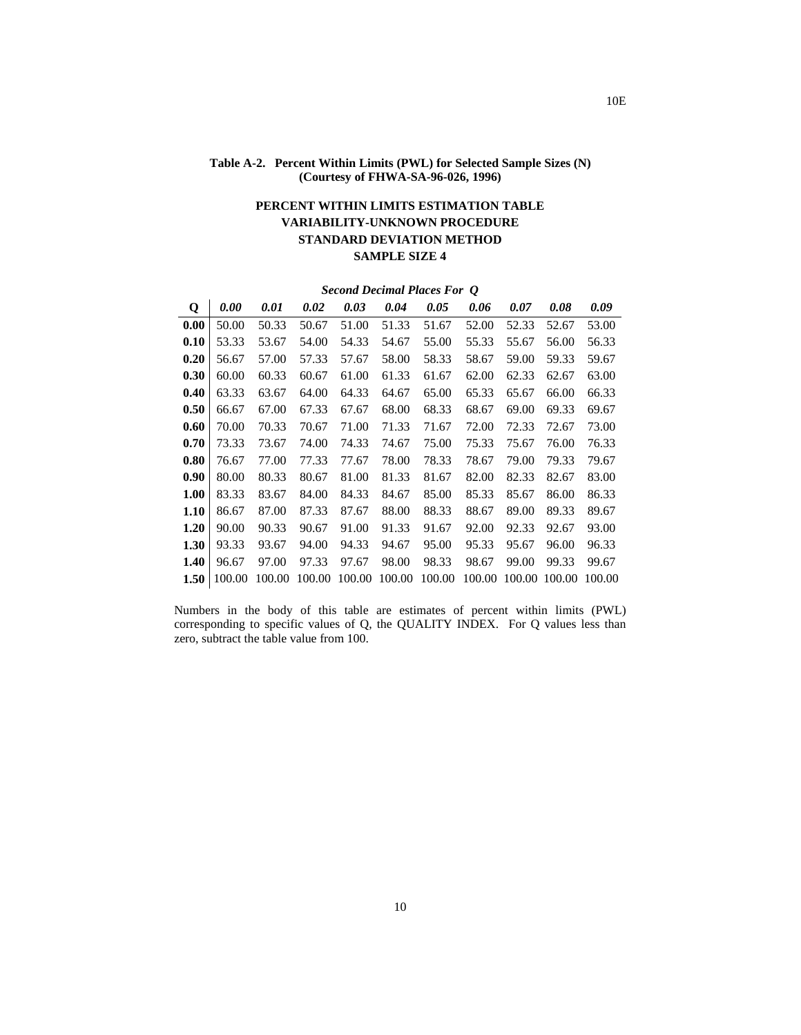## **Table A-2. Percent Within Limits (PWL) for Selected Sample Sizes (N) (Courtesy of FHWA-SA-96-026, 1996)**

# **PERCENT WITHIN LIMITS ESTIMATION TABLE VARIABILITY-UNKNOWN PROCEDURE STANDARD DEVIATION METHOD SAMPLE SIZE 4**

| Q    | 0.00   | 0.01   | 0.02   | 0.03   | 0.04   | 0.05   | 0.06   | 0.07  | 0.08          | 0.09   |
|------|--------|--------|--------|--------|--------|--------|--------|-------|---------------|--------|
| 0.00 | 50.00  | 50.33  | 50.67  | 51.00  | 51.33  | 51.67  | 52.00  | 52.33 | 52.67         | 53.00  |
| 0.10 | 53.33  | 53.67  | 54.00  | 54.33  | 54.67  | 55.00  | 55.33  | 55.67 | 56.00         | 56.33  |
| 0.20 | 56.67  | 57.00  | 57.33  | 57.67  | 58.00  | 58.33  | 58.67  | 59.00 | 59.33         | 59.67  |
| 0.30 | 60.00  | 60.33  | 60.67  | 61.00  | 61.33  | 61.67  | 62.00  | 62.33 | 62.67         | 63.00  |
| 0.40 | 63.33  | 63.67  | 64.00  | 64.33  | 64.67  | 65.00  | 65.33  | 65.67 | 66.00         | 66.33  |
| 0.50 | 66.67  | 67.00  | 67.33  | 67.67  | 68.00  | 68.33  | 68.67  | 69.00 | 69.33         | 69.67  |
| 0.60 | 70.00  | 70.33  | 70.67  | 71.00  | 71.33  | 71.67  | 72.00  | 72.33 | 72.67         | 73.00  |
| 0.70 | 73.33  | 73.67  | 74.00  | 74.33  | 74.67  | 75.00  | 75.33  | 75.67 | 76.00         | 76.33  |
| 0.80 | 76.67  | 77.00  | 77.33  | 77.67  | 78.00  | 78.33  | 78.67  | 79.00 | 79.33         | 79.67  |
| 0.90 | 80.00  | 80.33  | 80.67  | 81.00  | 81.33  | 81.67  | 82.00  | 82.33 | 82.67         | 83.00  |
| 1.00 | 83.33  | 83.67  | 84.00  | 84.33  | 84.67  | 85.00  | 85.33  | 85.67 | 86.00         | 86.33  |
| 1.10 | 86.67  | 87.00  | 87.33  | 87.67  | 88.00  | 88.33  | 88.67  | 89.00 | 89.33         | 89.67  |
| 1.20 | 90.00  | 90.33  | 90.67  | 91.00  | 91.33  | 91.67  | 92.00  | 92.33 | 92.67         | 93.00  |
| 1.30 | 93.33  | 93.67  | 94.00  | 94.33  | 94.67  | 95.00  | 95.33  | 95.67 | 96.00         | 96.33  |
| 1.40 | 96.67  | 97.00  | 97.33  | 97.67  | 98.00  | 98.33  | 98.67  | 99.00 | 99.33         | 99.67  |
| 1.50 | 100.00 | 100.00 | 100.00 | 100.00 | 100.00 | 100.00 | 100.00 |       | 100.00 100.00 | 100.00 |

*Second Decimal Places For Q* 

Numbers in the body of this table are estimates of percent within limits (PWL) corresponding to specific values of Q, the QUALITY INDEX. For Q values less than zero, subtract the table value from 100.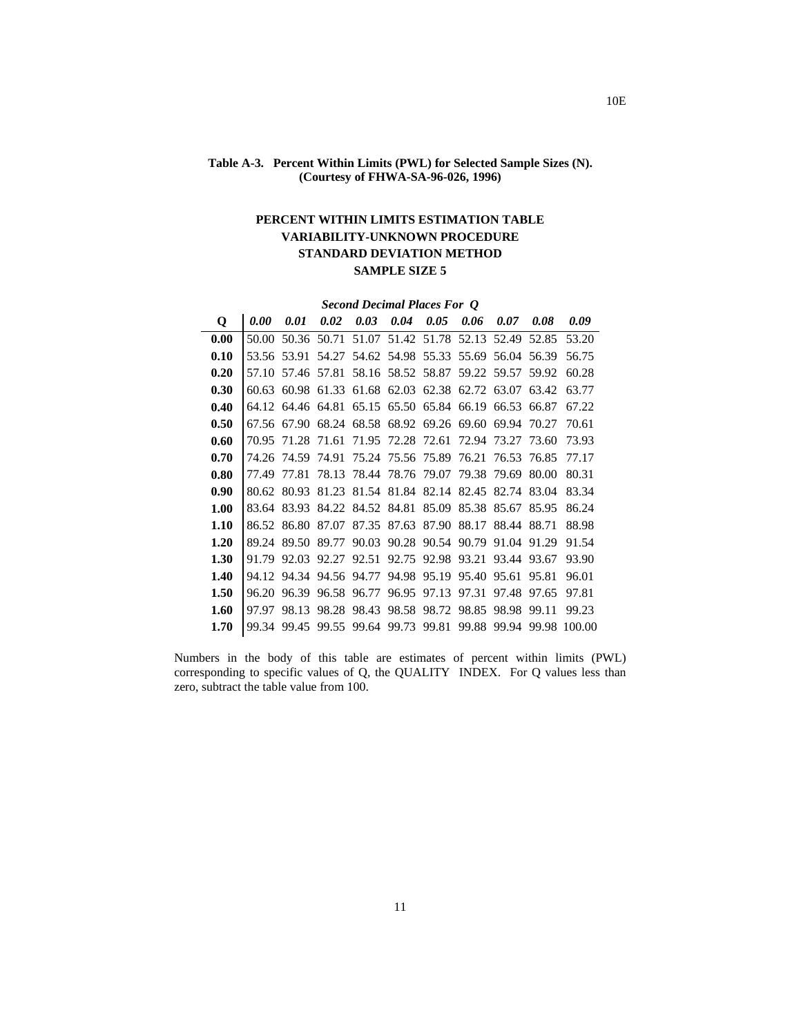## **Table A-3. Percent Within Limits (PWL) for Selected Sample Sizes (N). (Courtesy of FHWA-SA-96-026, 1996)**

## **PERCENT WITHIN LIMITS ESTIMATION TABLE VARIABILITY-UNKNOWN PROCEDURE STANDARD DEVIATION METHOD SAMPLE SIZE 5**

|             | <b>Second Decimal Places For Q</b> |             |       |                                           |                   |                               |                   |                   |       |        |  |  |  |  |
|-------------|------------------------------------|-------------|-------|-------------------------------------------|-------------------|-------------------------------|-------------------|-------------------|-------|--------|--|--|--|--|
| $\mathbf 0$ | 0.00                               | 0.01        | 0.02  | 0.03                                      | 0.04              | 0.05                          | 0.06              | 0.07              | 0.08  | 0.09   |  |  |  |  |
| 0.00        | 50.00                              | 50.36       | 50.71 | 51.07                                     | 51.42 51.78       |                               | 52.13             | 52.49             | 52.85 | 53.20  |  |  |  |  |
| 0.10        | 53.56                              | 53.91       | 54.27 |                                           | 54.62 54.98 55.33 |                               | 55.69             | 56.04             | 56.39 | 56.75  |  |  |  |  |
| 0.20        | 57.10                              | 57.46       | 57.81 |                                           | 58.16 58.52 58.87 |                               |                   | 59.22 59.57       | 59.92 | 60.28  |  |  |  |  |
| 0.30        | 60.63                              | 60.98       | 61.33 |                                           |                   | 61.68 62.03 62.38 62.72 63.07 |                   |                   | 63.42 | 63.77  |  |  |  |  |
| 0.40        |                                    | 64.12 64.46 |       | 64.81 65.15 65.50 65.84 66.19 66.53       |                   |                               |                   |                   | 66.87 | 67.22  |  |  |  |  |
| 0.50        |                                    | 67.56 67.90 |       | 68.24 68.58 68.92 69.26 69.60 69.94 70.27 |                   |                               |                   |                   |       | 70.61  |  |  |  |  |
| 0.60        | 70.95                              |             |       | 71.28 71.61 71.95 72.28 72.61 72.94 73.27 |                   |                               |                   |                   | 73.60 | 73.93  |  |  |  |  |
| 0.70        | 74.26                              | 74.59       | 74.91 |                                           |                   | 75.24 75.56 75.89 76.21 76.53 |                   |                   | 76.85 | 77.17  |  |  |  |  |
| 0.80        | 77.49                              | 77.81       | 78.13 | 78.44 78.76                               |                   | 79.07                         | 79.38             | 79.69             | 80.00 | 80.31  |  |  |  |  |
| 0.90        | 80.62                              | 80.93       | 81.23 |                                           | 81.54 81.84 82.14 |                               | 82.45             | 82.74             | 83.04 | 83.34  |  |  |  |  |
| 1.00        | 83.64                              | 83.93       |       | 84.22 84.52 84.81                         |                   |                               | 85.09 85.38 85.67 |                   | 85.95 | 86.24  |  |  |  |  |
| 1.10        | 86.52                              | 86.80       | 87.07 |                                           | 87.35 87.63       | 87.90                         |                   | 88.17 88.44       | 88.71 | 88.98  |  |  |  |  |
| 1.20        | 89.24                              | 89.50       | 89.77 | 90.03                                     | 90.28             |                               |                   | 90.54 90.79 91.04 | 91.29 | 91.54  |  |  |  |  |
| 1.30        | 91.79                              | 92.03       | 92.27 | 92.51                                     | 92.75             | 92.98 93.21                   |                   | 93.44             | 93.67 | 93.90  |  |  |  |  |
| 1.40        |                                    |             |       | 94.12 94.34 94.56 94.77                   |                   | 94.98 95.19 95.40             |                   | 95.61             | 95.81 | 96.01  |  |  |  |  |
| 1.50        | 96.20                              | 96.39       |       | 96.58 96.77                               | 96.95             | 97.13                         | 97.31             | 97.48             | 97.65 | 97.81  |  |  |  |  |
| 1.60        | 97.97                              | 98.13       | 98.28 | 98.43                                     | 98.58             | 98.72                         | 98.85             | 98.98             | 99.11 | 99.23  |  |  |  |  |
| 1.70        | 99.34                              | 99.45       |       | 99.55 99.64 99.73                         |                   | 99.81                         | 99.88             | 99.94             | 99.98 | 100.00 |  |  |  |  |

Numbers in the body of this table are estimates of percent within limits (PWL) corresponding to specific values of Q, the QUALITY INDEX. For Q values less than zero, subtract the table value from 100.

10E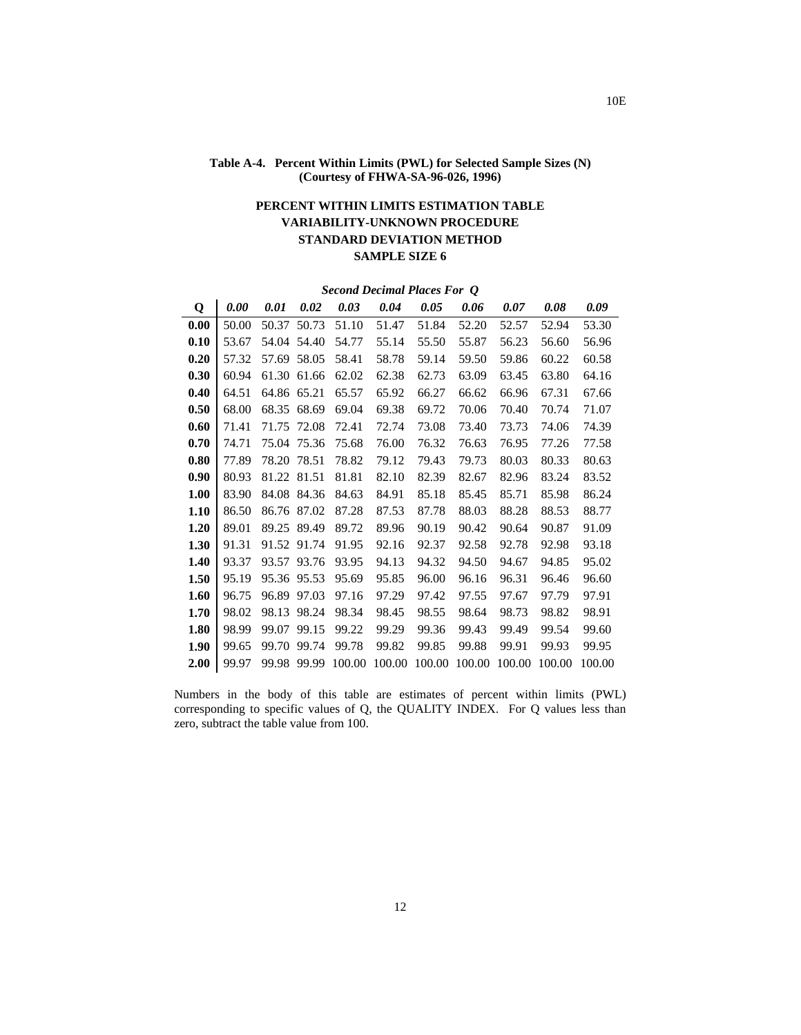## **Table A-4. Percent Within Limits (PWL) for Selected Sample Sizes (N) (Courtesy of FHWA-SA-96-026, 1996)**

# **PERCENT WITHIN LIMITS ESTIMATION TABLE VARIABILITY-UNKNOWN PROCEDURE STANDARD DEVIATION METHOD SAMPLE SIZE 6**

### *Second Decimal Places For Q*

| Q    | 0.00  | 0.01  | 0.02        | 0.03   | 0.04   | 0.05   | 0.06   | 0.07   | 0.08   | 0.09   |
|------|-------|-------|-------------|--------|--------|--------|--------|--------|--------|--------|
| 0.00 | 50.00 | 50.37 | 50.73       | 51.10  | 51.47  | 51.84  | 52.20  | 52.57  | 52.94  | 53.30  |
| 0.10 | 53.67 | 54.04 | 54.40       | 54.77  | 55.14  | 55.50  | 55.87  | 56.23  | 56.60  | 56.96  |
| 0.20 | 57.32 |       | 57.69 58.05 | 58.41  | 58.78  | 59.14  | 59.50  | 59.86  | 60.22  | 60.58  |
| 0.30 | 60.94 | 61.30 | 61.66       | 62.02  | 62.38  | 62.73  | 63.09  | 63.45  | 63.80  | 64.16  |
| 0.40 | 64.51 | 64.86 | 65.21       | 65.57  | 65.92  | 66.27  | 66.62  | 66.96  | 67.31  | 67.66  |
| 0.50 | 68.00 | 68.35 | 68.69       | 69.04  | 69.38  | 69.72  | 70.06  | 70.40  | 70.74  | 71.07  |
| 0.60 | 71.41 | 71.75 | 72.08       | 72.41  | 72.74  | 73.08  | 73.40  | 73.73  | 74.06  | 74.39  |
| 0.70 | 74.71 | 75.04 | 75.36       | 75.68  | 76.00  | 76.32  | 76.63  | 76.95  | 77.26  | 77.58  |
| 0.80 | 77.89 | 78.20 | 78.51       | 78.82  | 79.12  | 79.43  | 79.73  | 80.03  | 80.33  | 80.63  |
| 0.90 | 80.93 |       | 81.22 81.51 | 81.81  | 82.10  | 82.39  | 82.67  | 82.96  | 83.24  | 83.52  |
| 1.00 | 83.90 | 84.08 | 84.36       | 84.63  | 84.91  | 85.18  | 85.45  | 85.71  | 85.98  | 86.24  |
| 1.10 | 86.50 | 86.76 | 87.02       | 87.28  | 87.53  | 87.78  | 88.03  | 88.28  | 88.53  | 88.77  |
| 1.20 | 89.01 | 89.25 | 89.49       | 89.72  | 89.96  | 90.19  | 90.42  | 90.64  | 90.87  | 91.09  |
| 1.30 | 91.31 | 91.52 | 91.74       | 91.95  | 92.16  | 92.37  | 92.58  | 92.78  | 92.98  | 93.18  |
| 1.40 | 93.37 | 93.57 | 93.76       | 93.95  | 94.13  | 94.32  | 94.50  | 94.67  | 94.85  | 95.02  |
| 1.50 | 95.19 |       | 95.36 95.53 | 95.69  | 95.85  | 96.00  | 96.16  | 96.31  | 96.46  | 96.60  |
| 1.60 | 96.75 | 96.89 | 97.03       | 97.16  | 97.29  | 97.42  | 97.55  | 97.67  | 97.79  | 97.91  |
| 1.70 | 98.02 | 98.13 | 98.24       | 98.34  | 98.45  | 98.55  | 98.64  | 98.73  | 98.82  | 98.91  |
| 1.80 | 98.99 | 99.07 | 99.15       | 99.22  | 99.29  | 99.36  | 99.43  | 99.49  | 99.54  | 99.60  |
| 1.90 | 99.65 | 99.70 | 99.74       | 99.78  | 99.82  | 99.85  | 99.88  | 99.91  | 99.93  | 99.95  |
| 2.00 | 99.97 | 99.98 | 99.99       | 100.00 | 100.00 | 100.00 | 100.00 | 100.00 | 100.00 | 100.00 |

Numbers in the body of this table are estimates of percent within limits (PWL) corresponding to specific values of Q, the QUALITY INDEX. For Q values less than zero, subtract the table value from 100.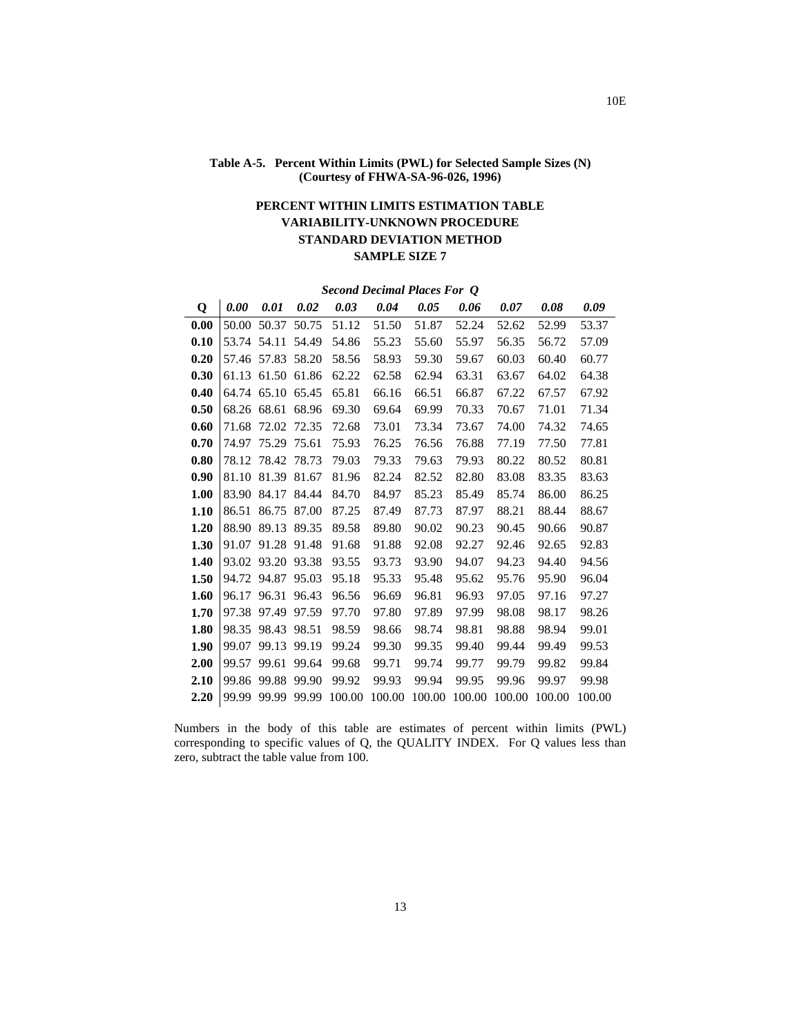## **Table A-5. Percent Within Limits (PWL) for Selected Sample Sizes (N) (Courtesy of FHWA-SA-96-026, 1996)**

# **PERCENT WITHIN LIMITS ESTIMATION TABLE VARIABILITY-UNKNOWN PROCEDURE STANDARD DEVIATION METHOD SAMPLE SIZE 7**

*Second Decimal Places For Q*

| Q    | 0.00  | 0.01              | 0.02  | 0.03   | 0.04   | 0.05   | 0.06   | 0.07   | 0.08   | 0.09   |
|------|-------|-------------------|-------|--------|--------|--------|--------|--------|--------|--------|
| 0.00 | 50.00 | 50.37             | 50.75 | 51.12  | 51.50  | 51.87  | 52.24  | 52.62  | 52.99  | 53.37  |
| 0.10 |       | 53.74 54.11       | 54.49 | 54.86  | 55.23  | 55.60  | 55.97  | 56.35  | 56.72  | 57.09  |
| 0.20 | 57.46 | 57.83             | 58.20 | 58.56  | 58.93  | 59.30  | 59.67  | 60.03  | 60.40  | 60.77  |
| 0.30 | 61.13 | 61.50             | 61.86 | 62.22  | 62.58  | 62.94  | 63.31  | 63.67  | 64.02  | 64.38  |
| 0.40 |       | 64.74 65.10       | 65.45 | 65.81  | 66.16  | 66.51  | 66.87  | 67.22  | 67.57  | 67.92  |
| 0.50 | 68.26 | 68.61             | 68.96 | 69.30  | 69.64  | 69.99  | 70.33  | 70.67  | 71.01  | 71.34  |
| 0.60 | 71.68 | 72.02             | 72.35 | 72.68  | 73.01  | 73.34  | 73.67  | 74.00  | 74.32  | 74.65  |
| 0.70 | 74.97 | 75.29             | 75.61 | 75.93  | 76.25  | 76.56  | 76.88  | 77.19  | 77.50  | 77.81  |
| 0.80 |       | 78.12 78.42 78.73 |       | 79.03  | 79.33  | 79.63  | 79.93  | 80.22  | 80.52  | 80.81  |
| 0.90 | 81.10 | 81.39             | 81.67 | 81.96  | 82.24  | 82.52  | 82.80  | 83.08  | 83.35  | 83.63  |
| 1.00 | 83.90 | 84.17             | 84.44 | 84.70  | 84.97  | 85.23  | 85.49  | 85.74  | 86.00  | 86.25  |
| 1.10 | 86.51 | 86.75             | 87.00 | 87.25  | 87.49  | 87.73  | 87.97  | 88.21  | 88.44  | 88.67  |
| 1.20 | 88.90 | 89.13             | 89.35 | 89.58  | 89.80  | 90.02  | 90.23  | 90.45  | 90.66  | 90.87  |
| 1.30 | 91.07 | 91.28             | 91.48 | 91.68  | 91.88  | 92.08  | 92.27  | 92.46  | 92.65  | 92.83  |
| 1.40 | 93.02 | 93.20             | 93.38 | 93.55  | 93.73  | 93.90  | 94.07  | 94.23  | 94.40  | 94.56  |
| 1.50 |       | 94.72 94.87       | 95.03 | 95.18  | 95.33  | 95.48  | 95.62  | 95.76  | 95.90  | 96.04  |
| 1.60 | 96.17 | 96.31             | 96.43 | 96.56  | 96.69  | 96.81  | 96.93  | 97.05  | 97.16  | 97.27  |
| 1.70 | 97.38 | 97.49             | 97.59 | 97.70  | 97.80  | 97.89  | 97.99  | 98.08  | 98.17  | 98.26  |
| 1.80 | 98.35 | 98.43             | 98.51 | 98.59  | 98.66  | 98.74  | 98.81  | 98.88  | 98.94  | 99.01  |
| 1.90 | 99.07 | 99.13             | 99.19 | 99.24  | 99.30  | 99.35  | 99.40  | 99.44  | 99.49  | 99.53  |
| 2.00 | 99.57 | 99.61             | 99.64 | 99.68  | 99.71  | 99.74  | 99.77  | 99.79  | 99.82  | 99.84  |
| 2.10 | 99.86 | 99.88             | 99.90 | 99.92  | 99.93  | 99.94  | 99.95  | 99.96  | 99.97  | 99.98  |
| 2.20 | 99.99 | 99.99             | 99.99 | 100.00 | 100.00 | 100.00 | 100.00 | 100.00 | 100.00 | 100.00 |

Numbers in the body of this table are estimates of percent within limits (PWL) corresponding to specific values of Q, the QUALITY INDEX. For Q values less than zero, subtract the table value from 100.